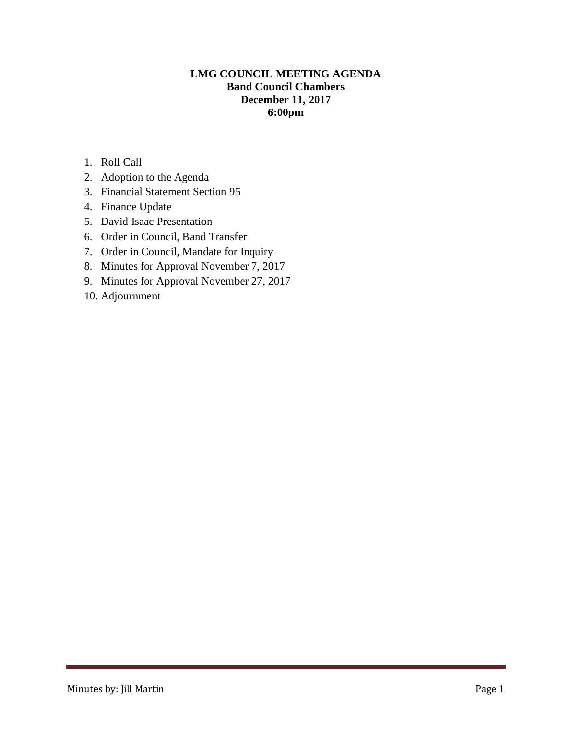# **LMG COUNCIL MEETING AGENDA Band Council Chambers December 11, 2017 6:00pm**

- 1. Roll Call
- 2. Adoption to the Agenda
- 3. Financial Statement Section 95
- 4. Finance Update
- 5. David Isaac Presentation
- 6. Order in Council, Band Transfer
- 7. Order in Council, Mandate for Inquiry
- 8. Minutes for Approval November 7, 2017
- 9. Minutes for Approval November 27, 2017
- 10. Adjournment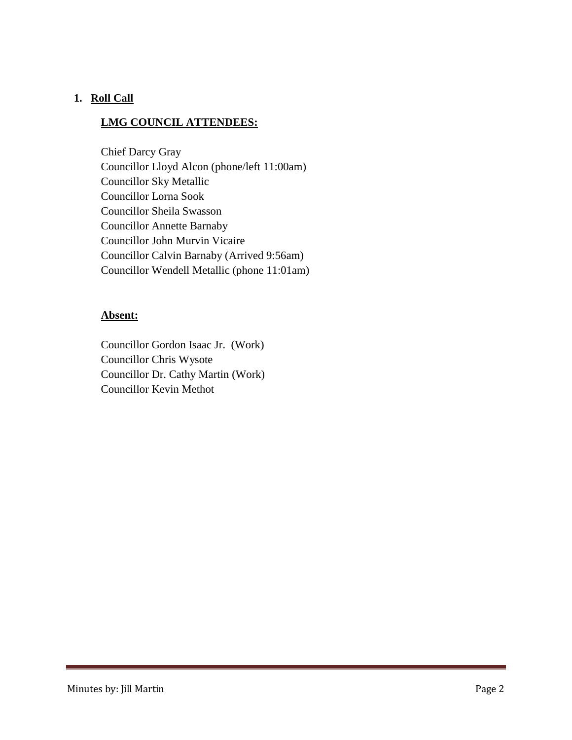## **1. Roll Call**

# **LMG COUNCIL ATTENDEES:**

Chief Darcy Gray Councillor Lloyd Alcon (phone/left 11:00am) Councillor Sky Metallic Councillor Lorna Sook Councillor Sheila Swasson Councillor Annette Barnaby Councillor John Murvin Vicaire Councillor Calvin Barnaby (Arrived 9:56am) Councillor Wendell Metallic (phone 11:01am)

## **Absent:**

Councillor Gordon Isaac Jr. (Work) Councillor Chris Wysote Councillor Dr. Cathy Martin (Work) Councillor Kevin Methot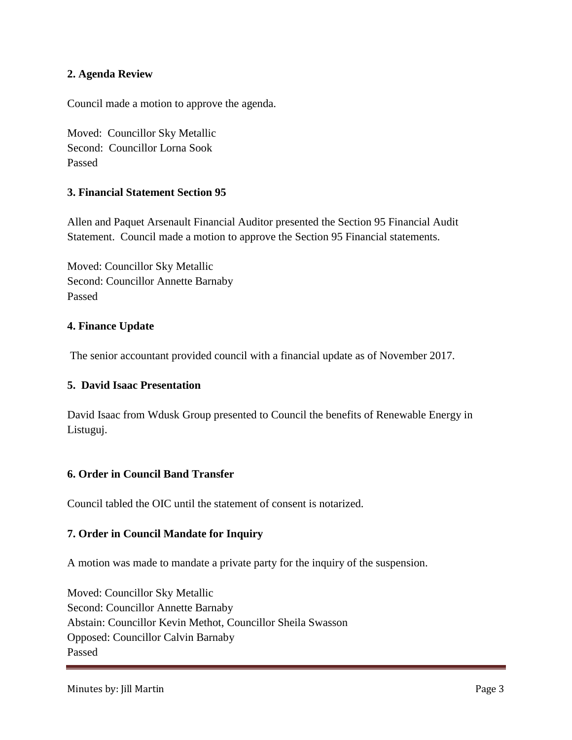#### **2. Agenda Review**

Council made a motion to approve the agenda.

Moved: Councillor Sky Metallic Second: Councillor Lorna Sook Passed

### **3. Financial Statement Section 95**

Allen and Paquet Arsenault Financial Auditor presented the Section 95 Financial Audit Statement. Council made a motion to approve the Section 95 Financial statements.

Moved: Councillor Sky Metallic Second: Councillor Annette Barnaby Passed

### **4. Finance Update**

The senior accountant provided council with a financial update as of November 2017.

#### **5. David Isaac Presentation**

David Isaac from Wdusk Group presented to Council the benefits of Renewable Energy in Listuguj.

#### **6. Order in Council Band Transfer**

Council tabled the OIC until the statement of consent is notarized.

#### **7. Order in Council Mandate for Inquiry**

A motion was made to mandate a private party for the inquiry of the suspension.

Moved: Councillor Sky Metallic Second: Councillor Annette Barnaby Abstain: Councillor Kevin Methot, Councillor Sheila Swasson Opposed: Councillor Calvin Barnaby Passed